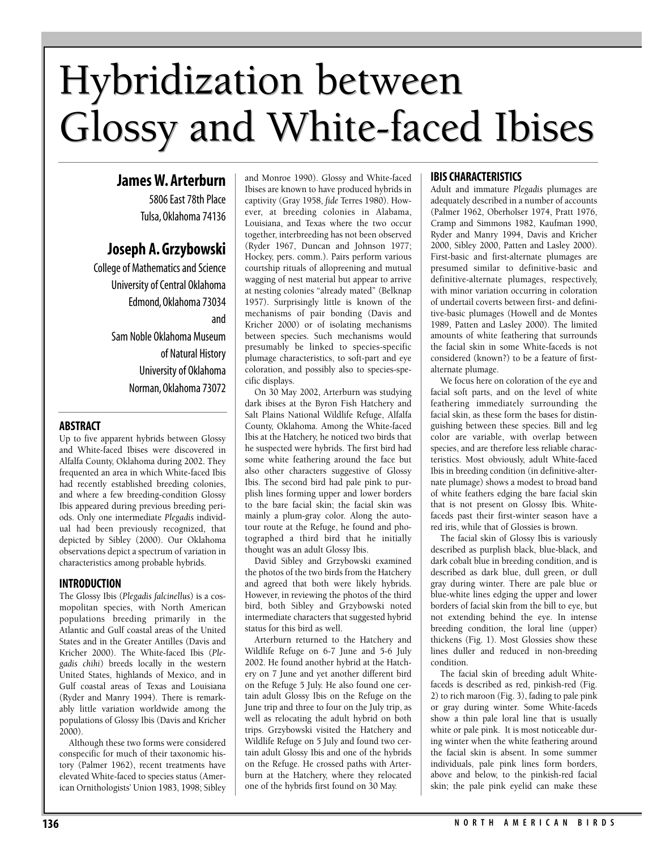# Hybridization between Hybridization between Glossy and White-faced Ibises Glossy and White-faced Ibises

# **James W. Arterburn**

5806 East 78th Place Tulsa, Oklahoma 74136

# **Joseph A. Grzybowski**

College of Mathematics and Science University of Central Oklahoma Edmond, Oklahoma 73034 and Sam Noble Oklahoma Museum of Natural History University of Oklahoma Norman, Oklahoma 73072

## **ABSTRACT**

Up to five apparent hybrids between Glossy and White-faced Ibises were discovered in Alfalfa County, Oklahoma during 2002. They frequented an area in which White-faced Ibis had recently established breeding colonies, and where a few breeding-condition Glossy Ibis appeared during previous breeding periods. Only one intermediate *Plegadis* individual had been previously recognized, that depicted by Sibley (2000). Our Oklahoma observations depict a spectrum of variation in characteristics among probable hybrids.

## **INTRODUCTION**

The Glossy Ibis (*Plegadis falcinellus*) is a cosmopolitan species, with North American populations breeding primarily in the Atlantic and Gulf coastal areas of the United States and in the Greater Antilles (Davis and Kricher 2000). The White-faced Ibis (*Plegadis chihi*) breeds locally in the western United States, highlands of Mexico, and in Gulf coastal areas of Texas and Louisiana (Ryder and Manry 1994). There is remarkably little variation worldwide among the populations of Glossy Ibis (Davis and Kricher 2000).

Although these two forms were considered conspecific for much of their taxonomic history (Palmer 1962), recent treatments have elevated White-faced to species status (American Ornithologists' Union 1983, 1998; Sibley and Monroe 1990). Glossy and White-faced Ibises are known to have produced hybrids in captivity (Gray 1958, *fide* Terres 1980). However, at breeding colonies in Alabama, Louisiana, and Texas where the two occur together, interbreeding has not been observed (Ryder 1967, Duncan and Johnson 1977; Hockey, pers. comm.). Pairs perform various courtship rituals of allopreening and mutual wagging of nest material but appear to arrive at nesting colonies "already mated" (Belknap 1957). Surprisingly little is known of the mechanisms of pair bonding (Davis and Kricher 2000) or of isolating mechanisms between species. Such mechanisms would presumably be linked to species-specific plumage characteristics, to soft-part and eye coloration, and possibly also to species-specific displays.

On 30 May 2002, Arterburn was studying dark ibises at the Byron Fish Hatchery and Salt Plains National Wildlife Refuge, Alfalfa County, Oklahoma. Among the White-faced Ibis at the Hatchery, he noticed two birds that he suspected were hybrids. The first bird had some white feathering around the face but also other characters suggestive of Glossy Ibis. The second bird had pale pink to purplish lines forming upper and lower borders to the bare facial skin; the facial skin was mainly a plum-gray color. Along the autotour route at the Refuge, he found and photographed a third bird that he initially thought was an adult Glossy Ibis.

David Sibley and Grzybowski examined the photos of the two birds from the Hatchery and agreed that both were likely hybrids. However, in reviewing the photos of the third bird, both Sibley and Grzybowski noted intermediate characters that suggested hybrid status for this bird as well.

Arterburn returned to the Hatchery and Wildlife Refuge on 6-7 June and 5-6 July 2002. He found another hybrid at the Hatchery on 7 June and yet another different bird on the Refuge 5 July. He also found one certain adult Glossy Ibis on the Refuge on the June trip and three to four on the July trip, as well as relocating the adult hybrid on both trips. Grzybowski visited the Hatchery and Wildlife Refuge on 5 July and found two certain adult Glossy Ibis and one of the hybrids on the Refuge. He crossed paths with Arterburn at the Hatchery, where they relocated one of the hybrids first found on 30 May.

# **IBIS CHARACTERISTICS**

Adult and immature *Plegadis* plumages are adequately described in a number of accounts (Palmer 1962, Oberholser 1974, Pratt 1976, Cramp and Simmons 1982, Kaufman 1990, Ryder and Manry 1994, Davis and Kricher 2000, Sibley 2000, Patten and Lasley 2000). First-basic and first-alternate plumages are presumed similar to definitive-basic and definitive-alternate plumages, respectively, with minor variation occurring in coloration of undertail coverts between first- and definitive-basic plumages (Howell and de Montes 1989, Patten and Lasley 2000). The limited amounts of white feathering that surrounds the facial skin in some White-faceds is not considered (known?) to be a feature of firstalternate plumage.

We focus here on coloration of the eye and facial soft parts, and on the level of white feathering immediately surrounding the facial skin, as these form the bases for distinguishing between these species. Bill and leg color are variable, with overlap between species, and are therefore less reliable characteristics. Most obviously, adult White-faced Ibis in breeding condition (in definitive-alternate plumage) shows a modest to broad band of white feathers edging the bare facial skin that is not present on Glossy Ibis. Whitefaceds past their first-winter season have a red iris, while that of Glossies is brown.

The facial skin of Glossy Ibis is variously described as purplish black, blue-black, and dark cobalt blue in breeding condition, and is described as dark blue, dull green, or dull gray during winter. There are pale blue or blue-white lines edging the upper and lower borders of facial skin from the bill to eye, but not extending behind the eye. In intense breeding condition, the loral line (upper) thickens (Fig. 1). Most Glossies show these lines duller and reduced in non-breeding condition.

The facial skin of breeding adult Whitefaceds is described as red, pinkish-red (Fig. 2) to rich maroon (Fig. 3), fading to pale pink or gray during winter. Some White-faceds show a thin pale loral line that is usually white or pale pink. It is most noticeable during winter when the white feathering around the facial skin is absent. In some summer individuals, pale pink lines form borders, above and below, to the pinkish-red facial skin; the pale pink eyelid can make these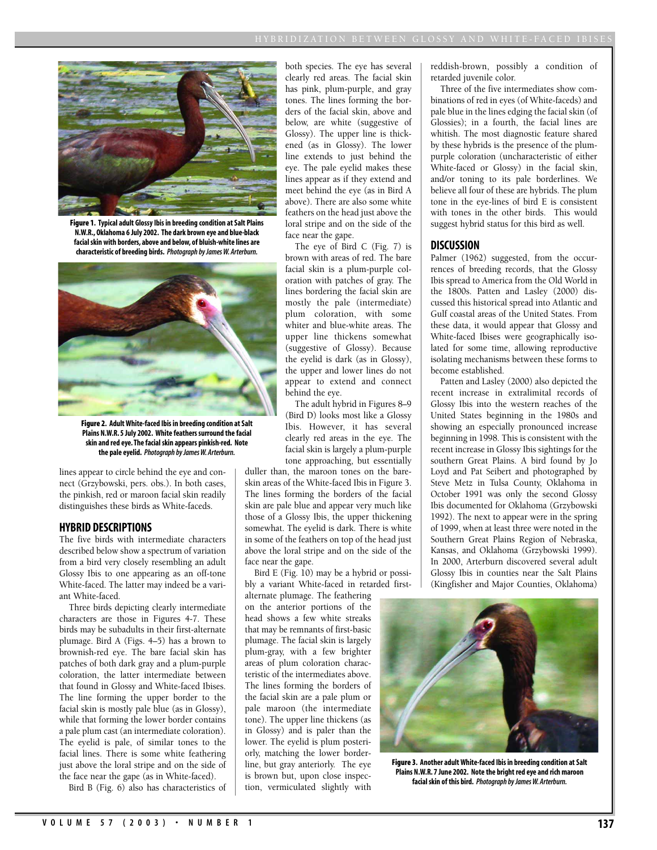

**Figure 1. Typical adult Glossy Ibis in breeding condition at Salt Plains N.W.R., Oklahoma 6 July 2002. The dark brown eye and blue-black facial skin with borders, above and below, of bluish-white lines are characteristic of breeding birds.** *Photograph by James W. Arterburn.*



**Figure 2. Adult White-faced Ibis in breeding condition at Salt Plains N.W.R. 5 July 2002. White feathers surround the facial skin and red eye. The facial skin appears pinkish-red. Note the pale eyelid.** *Photograph by James W. Arterburn.*

lines appear to circle behind the eye and connect (Grzybowski, pers. obs.). In both cases, the pinkish, red or maroon facial skin readily distinguishes these birds as White-faceds.

#### **HYBRID DESCRIPTIONS**

The five birds with intermediate characters described below show a spectrum of variation from a bird very closely resembling an adult Glossy Ibis to one appearing as an off-tone White-faced. The latter may indeed be a variant White-faced.

Three birds depicting clearly intermediate characters are those in Figures 4-7. These birds may be subadults in their first-alternate plumage. Bird A (Figs. 4–5) has a brown to brownish-red eye. The bare facial skin has patches of both dark gray and a plum-purple coloration, the latter intermediate between that found in Glossy and White-faced Ibises. The line forming the upper border to the facial skin is mostly pale blue (as in Glossy), while that forming the lower border contains a pale plum cast (an intermediate coloration). The eyelid is pale, of similar tones to the facial lines. There is some white feathering just above the loral stripe and on the side of the face near the gape (as in White-faced).

Bird B (Fig. 6) also has characteristics of

both species. The eye has several clearly red areas. The facial skin has pink, plum-purple, and gray tones. The lines forming the borders of the facial skin, above and below, are white (suggestive of Glossy). The upper line is thickened (as in Glossy). The lower line extends to just behind the eye. The pale eyelid makes these lines appear as if they extend and meet behind the eye (as in Bird A above). There are also some white feathers on the head just above the loral stripe and on the side of the face near the gape.

The eye of Bird C (Fig. 7) is brown with areas of red. The bare facial skin is a plum-purple coloration with patches of gray. The lines bordering the facial skin are mostly the pale (intermediate) plum coloration, with some whiter and blue-white areas. The upper line thickens somewhat (suggestive of Glossy). Because the eyelid is dark (as in Glossy), the upper and lower lines do not appear to extend and connect behind the eye.

The adult hybrid in Figures 8–9 (Bird D) looks most like a Glossy Ibis. However, it has several clearly red areas in the eye. The facial skin is largely a plum-purple tone approaching, but essentially

duller than, the maroon tones on the bareskin areas of the White-faced Ibis in Figure 3. The lines forming the borders of the facial skin are pale blue and appear very much like those of a Glossy Ibis, the upper thickening somewhat. The eyelid is dark. There is white in some of the feathers on top of the head just above the loral stripe and on the side of the face near the gape.

Bird E (Fig. 10) may be a hybrid or possibly a variant White-faced in retarded first-

alternate plumage. The feathering on the anterior portions of the head shows a few white streaks that may be remnants of first-basic plumage. The facial skin is largely plum-gray, with a few brighter areas of plum coloration characteristic of the intermediates above. The lines forming the borders of the facial skin are a pale plum or pale maroon (the intermediate tone). The upper line thickens (as in Glossy) and is paler than the lower. The eyelid is plum posteriorly, matching the lower borderline, but gray anteriorly. The eye is brown but, upon close inspection, vermiculated slightly with reddish-brown, possibly a condition of retarded juvenile color.

Three of the five intermediates show combinations of red in eyes (of White-faceds) and pale blue in the lines edging the facial skin (of Glossies); in a fourth, the facial lines are whitish. The most diagnostic feature shared by these hybrids is the presence of the plumpurple coloration (uncharacteristic of either White-faced or Glossy) in the facial skin, and/or toning to its pale borderlines. We believe all four of these are hybrids. The plum tone in the eye-lines of bird E is consistent with tones in the other birds. This would suggest hybrid status for this bird as well.

#### **DISCUSSION**

Palmer (1962) suggested, from the occurrences of breeding records, that the Glossy Ibis spread to America from the Old World in the 1800s. Patten and Lasley (2000) discussed this historical spread into Atlantic and Gulf coastal areas of the United States. From these data, it would appear that Glossy and White-faced Ibises were geographically isolated for some time, allowing reproductive isolating mechanisms between these forms to become established.

Patten and Lasley (2000) also depicted the recent increase in extralimital records of Glossy Ibis into the western reaches of the United States beginning in the 1980s and showing an especially pronounced increase beginning in 1998. This is consistent with the recent increase in Glossy Ibis sightings for the southern Great Plains. A bird found by Jo Loyd and Pat Seibert and photographed by Steve Metz in Tulsa County, Oklahoma in October 1991 was only the second Glossy Ibis documented for Oklahoma (Grzybowski 1992). The next to appear were in the spring of 1999, when at least three were noted in the Southern Great Plains Region of Nebraska, Kansas, and Oklahoma (Grzybowski 1999). In 2000, Arterburn discovered several adult Glossy Ibis in counties near the Salt Plains (Kingfisher and Major Counties, Oklahoma)



**Figure 3. Another adult White-faced Ibis in breeding condition at Salt Plains N.W.R. 7 June 2002. Note the bright red eye and rich maroon facial skin of this bird.** *Photograph by James W. Arterburn.*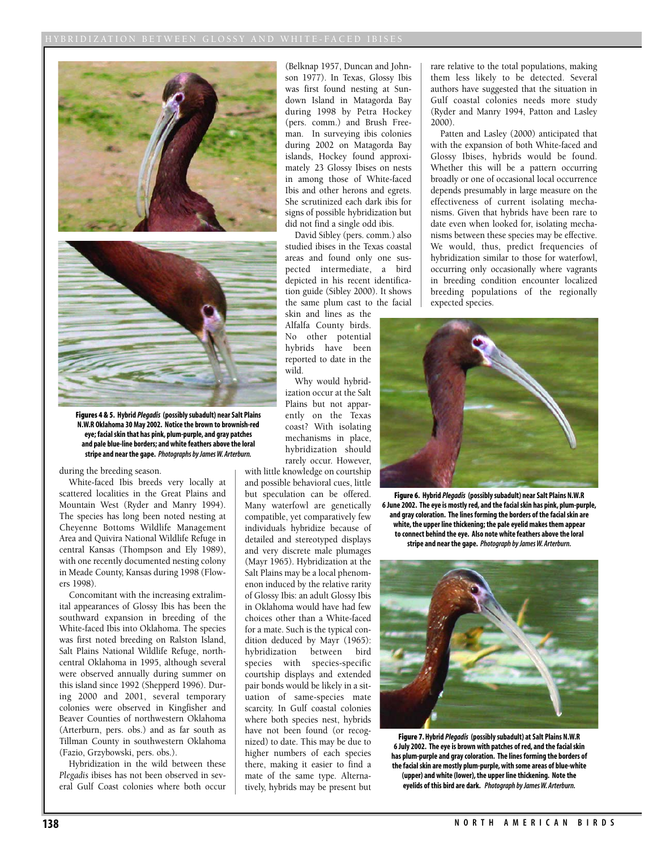

**Figures 4 & 5. Hybrid** *Plegadis* **(possibly subadult) near Salt Plains N.W.R Oklahoma 30 May 2002. Notice the brown to brownish-red eye; facial skin that has pink, plum-purple, and gray patches and pale blue-line borders; and white feathers above the loral stripe and near the gape.** *Photographs by James W. Arterburn.*

during the breeding season.

White-faced Ibis breeds very locally at scattered localities in the Great Plains and Mountain West (Ryder and Manry 1994). The species has long been noted nesting at Cheyenne Bottoms Wildlife Management Area and Quivira National Wildlife Refuge in central Kansas (Thompson and Ely 1989), with one recently documented nesting colony in Meade County, Kansas during 1998 (Flowers 1998).

Concomitant with the increasing extralimital appearances of Glossy Ibis has been the southward expansion in breeding of the White-faced Ibis into Oklahoma. The species was first noted breeding on Ralston Island, Salt Plains National Wildlife Refuge, northcentral Oklahoma in 1995, although several were observed annually during summer on this island since 1992 (Shepperd 1996). During 2000 and 2001, several temporary colonies were observed in Kingfisher and Beaver Counties of northwestern Oklahoma (Arterburn, pers. obs.) and as far south as Tillman County in southwestern Oklahoma (Fazio, Grzybowski, pers. obs.).

Hybridization in the wild between these *Plegadis* ibises has not been observed in several Gulf Coast colonies where both occur

(Belknap 1957, Duncan and Johnson 1977). In Texas, Glossy Ibis was first found nesting at Sundown Island in Matagorda Bay during 1998 by Petra Hockey (pers. comm.) and Brush Freeman. In surveying ibis colonies during 2002 on Matagorda Bay islands, Hockey found approximately 23 Glossy Ibises on nests in among those of White-faced Ibis and other herons and egrets. She scrutinized each dark ibis for signs of possible hybridization but did not find a single odd ibis.

David Sibley (pers. comm.) also studied ibises in the Texas coastal areas and found only one suspected intermediate, a bird depicted in his recent identification guide (Sibley 2000). It shows the same plum cast to the facial

skin and lines as the Alfalfa County birds. No other potential hybrids have been reported to date in the wild.

Why would hybridization occur at the Salt Plains but not apparently on the Texas coast? With isolating mechanisms in place, hybridization should rarely occur. However,

with little knowledge on courtship and possible behavioral cues, little but speculation can be offered. Many waterfowl are genetically compatible, yet comparatively few individuals hybridize because of detailed and stereotyped displays and very discrete male plumages (Mayr 1965). Hybridization at the Salt Plains may be a local phenomenon induced by the relative rarity of Glossy Ibis: an adult Glossy Ibis in Oklahoma would have had few choices other than a White-faced for a mate. Such is the typical condition deduced by Mayr (1965): hybridization between bird species with species-specific courtship displays and extended pair bonds would be likely in a situation of same-species mate scarcity. In Gulf coastal colonies where both species nest, hybrids have not been found (or recognized) to date. This may be due to higher numbers of each species there, making it easier to find a mate of the same type. Alternatively, hybrids may be present but

rare relative to the total populations, making them less likely to be detected. Several authors have suggested that the situation in Gulf coastal colonies needs more study (Ryder and Manry 1994, Patton and Lasley 2000).

Patten and Lasley (2000) anticipated that with the expansion of both White-faced and Glossy Ibises, hybrids would be found. Whether this will be a pattern occurring broadly or one of occasional local occurrence depends presumably in large measure on the effectiveness of current isolating mechanisms. Given that hybrids have been rare to date even when looked for, isolating mechanisms between these species may be effective. We would, thus, predict frequencies of hybridization similar to those for waterfowl, occurring only occasionally where vagrants in breeding condition encounter localized breeding populations of the regionally expected species.



**Figure 6. Hybrid** *Plegadis* **(possibly subadult) near Salt Plains N.W.R 6 June 2002. The eye is mostly red, and the facial skin has pink, plum-purple, and gray coloration. The lines forming the borders of the facial skin are white, the upper line thickening; the pale eyelid makes them appear to connect behind the eye. Also note white feathers above the loral stripe and near the gape.** *Photograph by James W. Arterburn.*



**Figure 7. Hybrid** *Plegadis* **(possibly subadult) at Salt Plains N.W.R 6 July 2002. The eye is brown with patches of red, and the facial skin has plum-purple and gray coloration. The lines forming the borders of the facial skin are mostly plum-purple, with some areas of blue-white (upper) and white (lower), the upper line thickening. Note the eyelids of this bird are dark.** *Photograph by James W. Arterburn.*